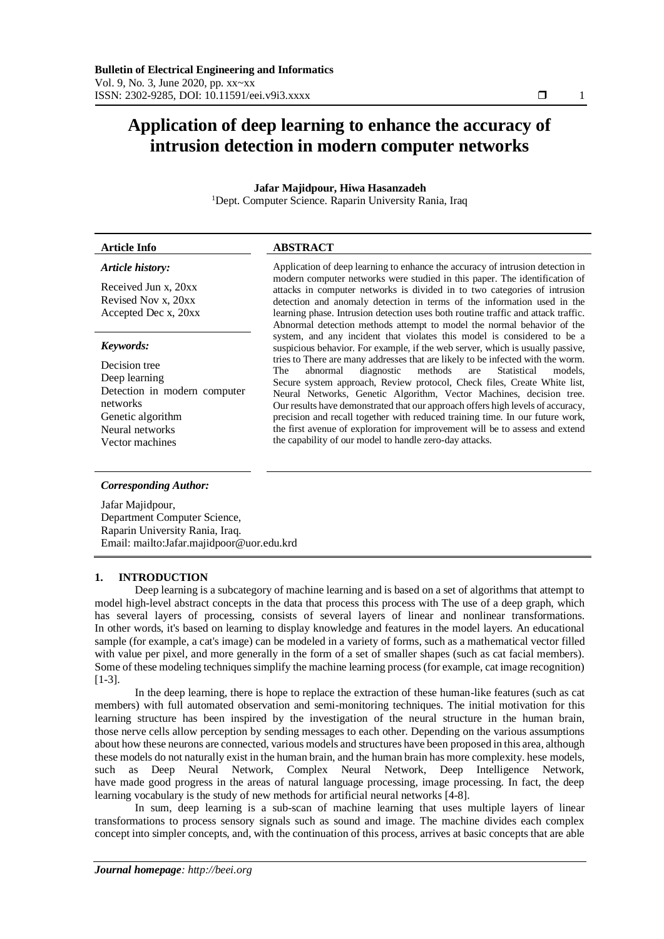# **Application of deep learning to enhance the accuracy of intrusion detection in modern computer networks**

## **Jafar Majidpour, Hiwa Hasanzadeh**

<sup>1</sup>Dept. Computer Science. Raparin University Rania, Iraq

## **Article Info ABSTRACT**  *Article history:* Application of deep learning to enhance the accuracy of intrusion detection in

Received Jun x, 20xx Revised Nov x, 20xx Accepted Dec x, 20xx

## *Keywords:*

Decision tree Deep learning Detection in modern computer networks Genetic algorithm Neural networks Vector machines

modern computer networks were studied in this paper. The identification of attacks in computer networks is divided in to two categories of intrusion detection and anomaly detection in terms of the information used in the learning phase. Intrusion detection uses both routine traffic and attack traffic. Abnormal detection methods attempt to model the normal behavior of the system, and any incident that violates this model is considered to be a suspicious behavior. For example, if the web server, which is usually passive, tries to There are many addresses that are likely to be infected with the worm.<br>The abnormal diagnostic methods are Statistical models, The abnormal diagnostic methods are Statistical models, Secure system approach, Review protocol, Check files, Create White list, Neural Networks, Genetic Algorithm, Vector Machines, decision tree. Our results have demonstrated that our approach offers high levels of accuracy, precision and recall together with reduced training time. In our future work, the first avenue of exploration for improvement will be to assess and extend the capability of our model to handle zero-day attacks.

## *Corresponding Author:*

Jafar Majidpour, Department Computer Science, Raparin University Rania, Iraq. Email: mailto:Jafar.majidpoor@uor.edu.krd

## **1. INTRODUCTION**

Deep learning is a subcategory of machine learning and is based on a set of algorithms that attempt to model high-level abstract concepts in the data that process this process with The use of a deep graph, which has several layers of processing, consists of several layers of linear and nonlinear transformations. In other words, it's based on learning to display knowledge and features in the model layers. An educational sample (for example, a cat's image) can be modeled in a variety of forms, such as a mathematical vector filled with value per pixel, and more generally in the form of a set of smaller shapes (such as cat facial members). Some of these modeling techniques simplify the machine learning process (for example, cat image recognition) [1-3].

In the deep learning, there is hope to replace the extraction of these human-like features (such as cat members) with full automated observation and semi-monitoring techniques. The initial motivation for this learning structure has been inspired by the investigation of the neural structure in the human brain, those nerve cells allow perception by sending messages to each other. Depending on the various assumptions about how these neurons are connected, various models and structures have been proposed in this area, although these models do not naturally exist in the human brain, and the human brain has more complexity. hese models, such as Deep Neural Network, Complex Neural Network, Deep Intelligence Network, have made good progress in the areas of natural language processing, image processing. In fact, the deep learning vocabulary is the study of new methods for artificial neural networks [4-8].

In sum, deep learning is a sub-scan of machine learning that uses multiple layers of linear transformations to process sensory signals such as sound and image. The machine divides each complex concept into simpler concepts, and, with the continuation of this process, arrives at basic concepts that are able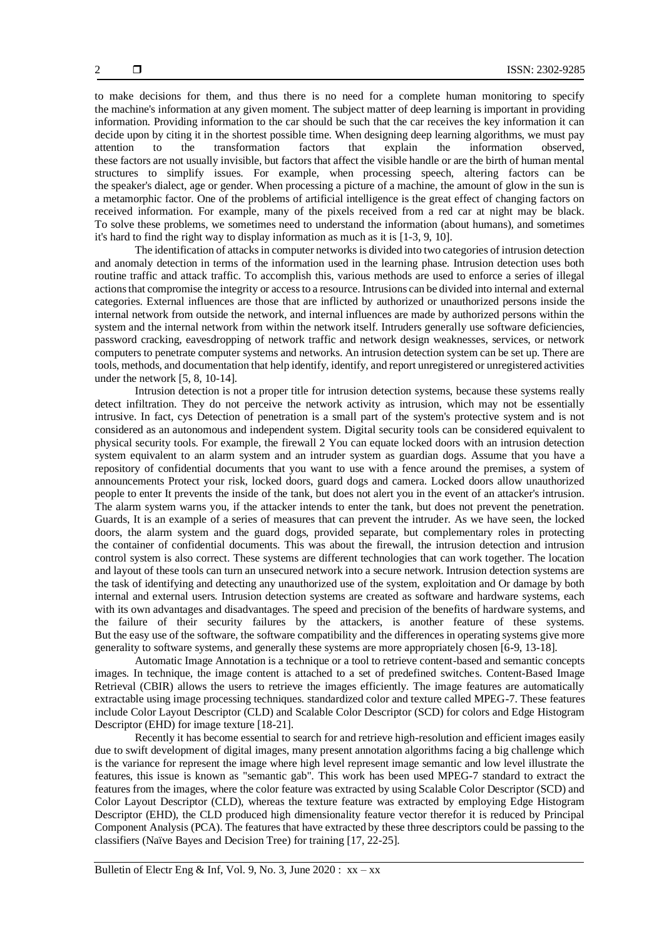to make decisions for them, and thus there is no need for a complete human monitoring to specify the machine's information at any given moment. The subject matter of deep learning is important in providing information. Providing information to the car should be such that the car receives the key information it can decide upon by citing it in the shortest possible time. When designing deep learning algorithms, we must pay attention to the transformation factors that explain the information observed, these factors are not usually invisible, but factors that affect the visible handle or are the birth of human mental structures to simplify issues. For example, when processing speech, altering factors can be the speaker's dialect, age or gender. When processing a picture of a machine, the amount of glow in the sun is a metamorphic factor. One of the problems of artificial intelligence is the great effect of changing factors on received information. For example, many of the pixels received from a red car at night may be black. To solve these problems, we sometimes need to understand the information (about humans), and sometimes it's hard to find the right way to display information as much as it is [1-3, 9, 10].

The identification of attacks in computer networks is divided into two categories of intrusion detection and anomaly detection in terms of the information used in the learning phase. Intrusion detection uses both routine traffic and attack traffic. To accomplish this, various methods are used to enforce a series of illegal actions that compromise the integrity or access to a resource. Intrusions can be divided into internal and external categories. External influences are those that are inflicted by authorized or unauthorized persons inside the internal network from outside the network, and internal influences are made by authorized persons within the system and the internal network from within the network itself. Intruders generally use software deficiencies, password cracking, eavesdropping of network traffic and network design weaknesses, services, or network computers to penetrate computer systems and networks. An intrusion detection system can be set up. There are tools, methods, and documentation that help identify, identify, and report unregistered or unregistered activities under the network [5, 8, 10-14].

Intrusion detection is not a proper title for intrusion detection systems, because these systems really detect infiltration. They do not perceive the network activity as intrusion, which may not be essentially intrusive. In fact, cys Detection of penetration is a small part of the system's protective system and is not considered as an autonomous and independent system. Digital security tools can be considered equivalent to physical security tools. For example, the firewall 2 You can equate locked doors with an intrusion detection system equivalent to an alarm system and an intruder system as guardian dogs. Assume that you have a repository of confidential documents that you want to use with a fence around the premises, a system of announcements Protect your risk, locked doors, guard dogs and camera. Locked doors allow unauthorized people to enter It prevents the inside of the tank, but does not alert you in the event of an attacker's intrusion. The alarm system warns you, if the attacker intends to enter the tank, but does not prevent the penetration. Guards, It is an example of a series of measures that can prevent the intruder. As we have seen, the locked doors, the alarm system and the guard dogs, provided separate, but complementary roles in protecting the container of confidential documents. This was about the firewall, the intrusion detection and intrusion control system is also correct. These systems are different technologies that can work together. The location and layout of these tools can turn an unsecured network into a secure network. Intrusion detection systems are the task of identifying and detecting any unauthorized use of the system, exploitation and Or damage by both internal and external users. Intrusion detection systems are created as software and hardware systems, each with its own advantages and disadvantages. The speed and precision of the benefits of hardware systems, and the failure of their security failures by the attackers, is another feature of these systems. But the easy use of the software, the software compatibility and the differences in operating systems give more generality to software systems, and generally these systems are more appropriately chosen [6-9, 13-18].

Automatic Image Annotation is a technique or a tool to retrieve content-based and semantic concepts images. In technique, the image content is attached to a set of predefined switches. Content-Based Image Retrieval (CBIR) allows the users to retrieve the images efficiently. The image features are automatically extractable using image processing techniques. standardized color and texture called MPEG-7. These features include Color Layout Descriptor (CLD) and Scalable Color Descriptor (SCD) for colors and Edge Histogram Descriptor (EHD) for image texture [18-21].

Recently it has become essential to search for and retrieve high-resolution and efficient images easily due to swift development of digital images, many present annotation algorithms facing a big challenge which is the variance for represent the image where high level represent image semantic and low level illustrate the features, this issue is known as "semantic gab". This work has been used MPEG-7 standard to extract the features from the images, where the color feature was extracted by using Scalable Color Descriptor (SCD) and Color Layout Descriptor (CLD), whereas the texture feature was extracted by employing Edge Histogram Descriptor (EHD), the CLD produced high dimensionality feature vector therefor it is reduced by Principal Component Analysis (PCA). The features that have extracted by these three descriptors could be passing to the classifiers (Naïve Bayes and Decision Tree) for training [17, 22-25].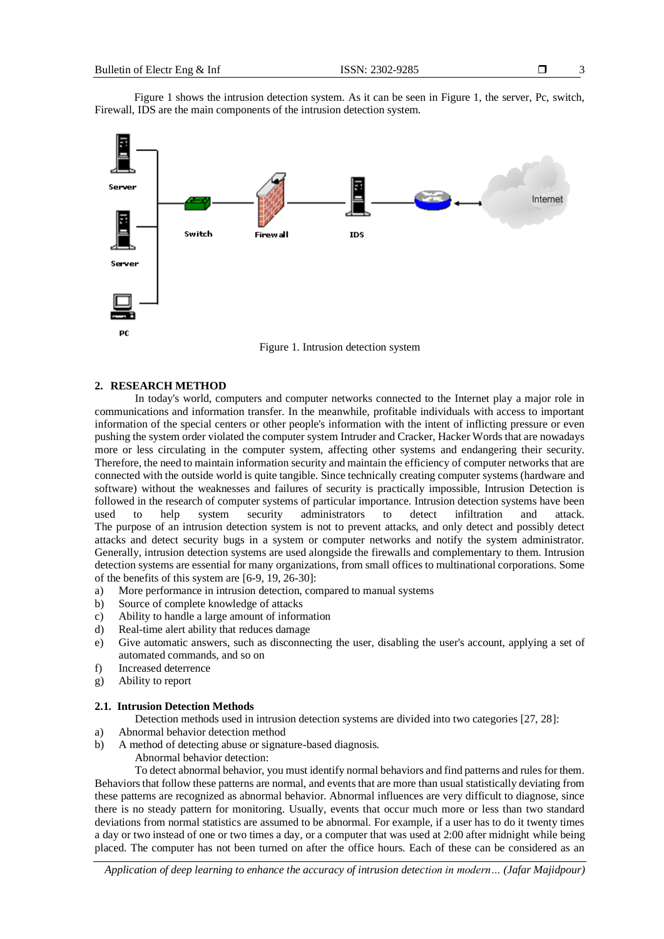Figure 1 shows the intrusion detection system. As it can be seen in Figure 1, the server, Pc, switch, Firewall, IDS are the main components of the intrusion detection system.



Figure 1. Intrusion detection system

## **2. RESEARCH METHOD**

In today's world, computers and computer networks connected to the Internet play a major role in communications and information transfer. In the meanwhile, profitable individuals with access to important information of the special centers or other people's information with the intent of inflicting pressure or even pushing the system order violated the computer system Intruder and Cracker, Hacker Words that are nowadays more or less circulating in the computer system, affecting other systems and endangering their security. Therefore, the need to maintain information security and maintain the efficiency of computer networks that are connected with the outside world is quite tangible. Since technically creating computer systems (hardware and software) without the weaknesses and failures of security is practically impossible, Intrusion Detection is followed in the research of computer systems of particular importance. Intrusion detection systems have been used to help system security administrators to detect infiltration and attack. The purpose of an intrusion detection system is not to prevent attacks, and only detect and possibly detect attacks and detect security bugs in a system or computer networks and notify the system administrator. Generally, intrusion detection systems are used alongside the firewalls and complementary to them. Intrusion detection systems are essential for many organizations, from small offices to multinational corporations. Some of the benefits of this system are [6-9, 19, 26-30]:

- a) More performance in intrusion detection, compared to manual systems
- b) Source of complete knowledge of attacks
- c) Ability to handle a large amount of information
- d) Real-time alert ability that reduces damage
- e) Give automatic answers, such as disconnecting the user, disabling the user's account, applying a set of automated commands, and so on
- f) Increased deterrence
- g) Ability to report

#### **2.1. Intrusion Detection Methods**

- Detection methods used in intrusion detection systems are divided into two categories [27, 28]:
- a) Abnormal behavior detection method
- b) A method of detecting abuse or signature-based diagnosis.
	- Abnormal behavior detection:

To detect abnormal behavior, you must identify normal behaviors and find patterns and rules for them. Behaviors that follow these patterns are normal, and events that are more than usual statistically deviating from these patterns are recognized as abnormal behavior. Abnormal influences are very difficult to diagnose, since there is no steady pattern for monitoring. Usually, events that occur much more or less than two standard deviations from normal statistics are assumed to be abnormal. For example, if a user has to do it twenty times a day or two instead of one or two times a day, or a computer that was used at 2:00 after midnight while being placed. The computer has not been turned on after the office hours. Each of these can be considered as an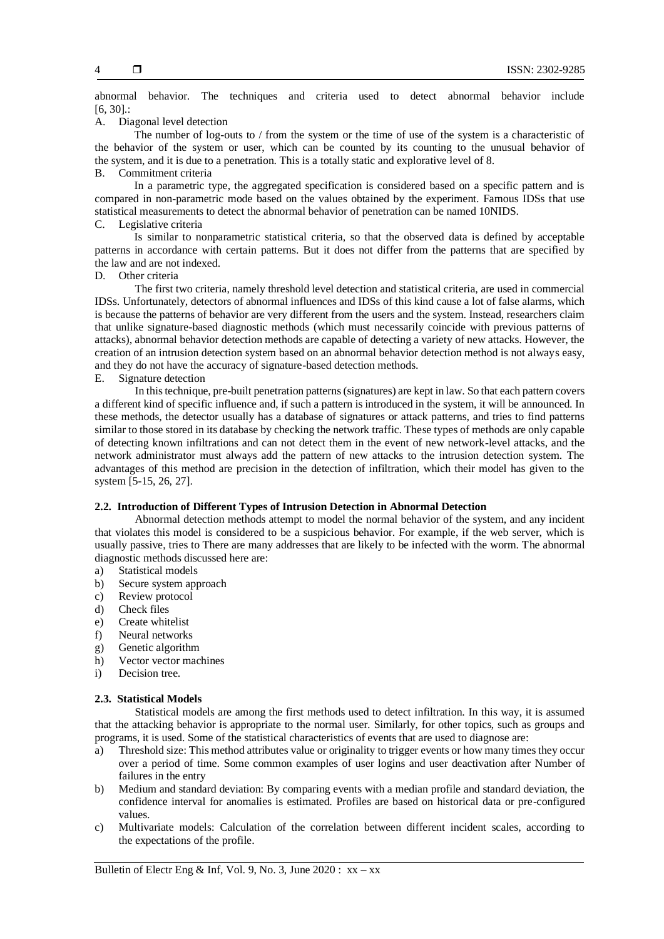abnormal behavior. The techniques and criteria used to detect abnormal behavior include [6, 30].:

A. Diagonal level detection

The number of log-outs to / from the system or the time of use of the system is a characteristic of the behavior of the system or user, which can be counted by its counting to the unusual behavior of the system, and it is due to a penetration. This is a totally static and explorative level of 8.

B. Commitment criteria

In a parametric type, the aggregated specification is considered based on a specific pattern and is compared in non-parametric mode based on the values obtained by the experiment. Famous IDSs that use statistical measurements to detect the abnormal behavior of penetration can be named 10NIDS.

C. Legislative criteria

Is similar to nonparametric statistical criteria, so that the observed data is defined by acceptable patterns in accordance with certain patterns. But it does not differ from the patterns that are specified by the law and are not indexed.

D. Other criteria

The first two criteria, namely threshold level detection and statistical criteria, are used in commercial IDSs. Unfortunately, detectors of abnormal influences and IDSs of this kind cause a lot of false alarms, which is because the patterns of behavior are very different from the users and the system. Instead, researchers claim that unlike signature-based diagnostic methods (which must necessarily coincide with previous patterns of attacks), abnormal behavior detection methods are capable of detecting a variety of new attacks. However, the creation of an intrusion detection system based on an abnormal behavior detection method is not always easy, and they do not have the accuracy of signature-based detection methods.

E. Signature detection

In this technique, pre-built penetration patterns (signatures) are kept in law. So that each pattern covers a different kind of specific influence and, if such a pattern is introduced in the system, it will be announced. In these methods, the detector usually has a database of signatures or attack patterns, and tries to find patterns similar to those stored in its database by checking the network traffic. These types of methods are only capable of detecting known infiltrations and can not detect them in the event of new network-level attacks, and the network administrator must always add the pattern of new attacks to the intrusion detection system. The advantages of this method are precision in the detection of infiltration, which their model has given to the system [5-15, 26, 27].

## **2.2. Introduction of Different Types of Intrusion Detection in Abnormal Detection**

Abnormal detection methods attempt to model the normal behavior of the system, and any incident that violates this model is considered to be a suspicious behavior. For example, if the web server, which is usually passive, tries to There are many addresses that are likely to be infected with the worm. The abnormal diagnostic methods discussed here are:

- a) Statistical models
- b) Secure system approach
- c) Review protocol
- d) Check files
- e) Create whitelist
- f) Neural networks
- g) Genetic algorithm
- h) Vector vector machines
- i) Decision tree.

#### **2.3. Statistical Models**

Statistical models are among the first methods used to detect infiltration. In this way, it is assumed that the attacking behavior is appropriate to the normal user. Similarly, for other topics, such as groups and programs, it is used. Some of the statistical characteristics of events that are used to diagnose are:

- a) Threshold size: This method attributes value or originality to trigger events or how many times they occur over a period of time. Some common examples of user logins and user deactivation after Number of failures in the entry
- b) Medium and standard deviation: By comparing events with a median profile and standard deviation, the confidence interval for anomalies is estimated. Profiles are based on historical data or pre-configured values.
- c) Multivariate models: Calculation of the correlation between different incident scales, according to the expectations of the profile.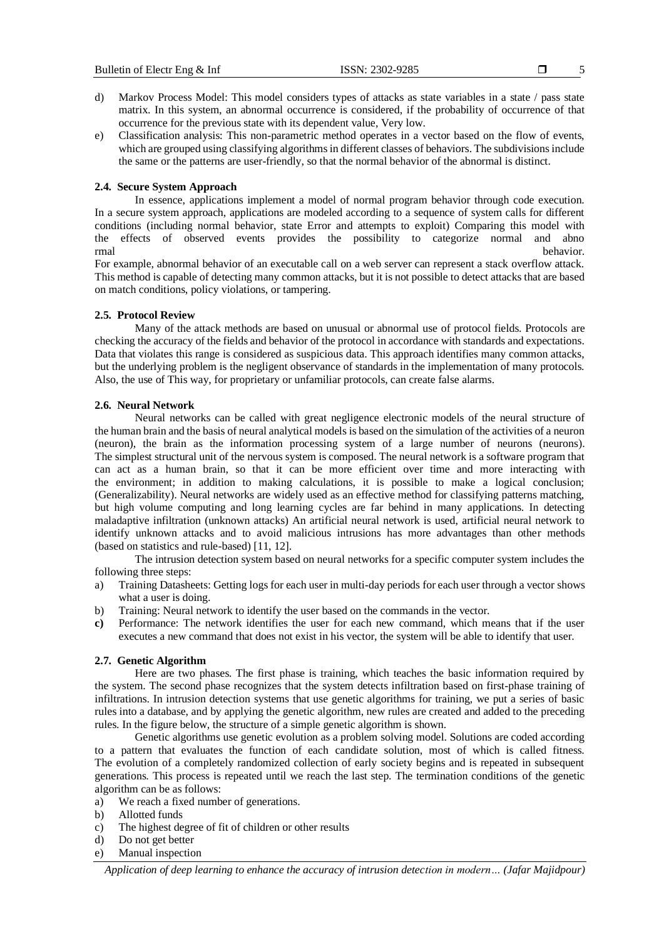- d) Markov Process Model: This model considers types of attacks as state variables in a state / pass state matrix. In this system, an abnormal occurrence is considered, if the probability of occurrence of that occurrence for the previous state with its dependent value, Very low.
- e) Classification analysis: This non-parametric method operates in a vector based on the flow of events, which are grouped using classifying algorithms in different classes of behaviors. The subdivisions include the same or the patterns are user-friendly, so that the normal behavior of the abnormal is distinct.

#### **2.4. Secure System Approach**

In essence, applications implement a model of normal program behavior through code execution. In a secure system approach, applications are modeled according to a sequence of system calls for different conditions (including normal behavior, state Error and attempts to exploit) Comparing this model with the effects of observed events provides the possibility to categorize normal and abno rmal behavior. The contract of the contract of the contract of the contract of the contract of the contract of the contract of the contract of the contract of the contract of the contract of the contract of the contract of

For example, abnormal behavior of an executable call on a web server can represent a stack overflow attack. This method is capable of detecting many common attacks, but it is not possible to detect attacks that are based on match conditions, policy violations, or tampering.

#### **2.5. Protocol Review**

Many of the attack methods are based on unusual or abnormal use of protocol fields. Protocols are checking the accuracy of the fields and behavior of the protocol in accordance with standards and expectations. Data that violates this range is considered as suspicious data. This approach identifies many common attacks, but the underlying problem is the negligent observance of standards in the implementation of many protocols. Also, the use of This way, for proprietary or unfamiliar protocols, can create false alarms.

#### **2.6. Neural Network**

Neural networks can be called with great negligence electronic models of the neural structure of the human brain and the basis of neural analytical models is based on the simulation of the activities of a neuron (neuron), the brain as the information processing system of a large number of neurons (neurons). The simplest structural unit of the nervous system is composed. The neural network is a software program that can act as a human brain, so that it can be more efficient over time and more interacting with the environment; in addition to making calculations, it is possible to make a logical conclusion; (Generalizability). Neural networks are widely used as an effective method for classifying patterns matching, but high volume computing and long learning cycles are far behind in many applications. In detecting maladaptive infiltration (unknown attacks) An artificial neural network is used, artificial neural network to identify unknown attacks and to avoid malicious intrusions has more advantages than other methods (based on statistics and rule-based) [11, 12].

The intrusion detection system based on neural networks for a specific computer system includes the following three steps:

- a) Training Datasheets: Getting logs for each user in multi-day periods for each user through a vector shows what a user is doing.
- b) Training: Neural network to identify the user based on the commands in the vector.
- **c)** Performance: The network identifies the user for each new command, which means that if the user executes a new command that does not exist in his vector, the system will be able to identify that user.

#### **2.7. Genetic Algorithm**

Here are two phases. The first phase is training, which teaches the basic information required by the system. The second phase recognizes that the system detects infiltration based on first-phase training of infiltrations. In intrusion detection systems that use genetic algorithms for training, we put a series of basic rules into a database, and by applying the genetic algorithm, new rules are created and added to the preceding rules. In the figure below, the structure of a simple genetic algorithm is shown.

Genetic algorithms use genetic evolution as a problem solving model. Solutions are coded according to a pattern that evaluates the function of each candidate solution, most of which is called fitness. The evolution of a completely randomized collection of early society begins and is repeated in subsequent generations. This process is repeated until we reach the last step. The termination conditions of the genetic algorithm can be as follows:

- a) We reach a fixed number of generations.
- b) Allotted funds
- c) The highest degree of fit of children or other results
- d) Do not get better
- e) Manual inspection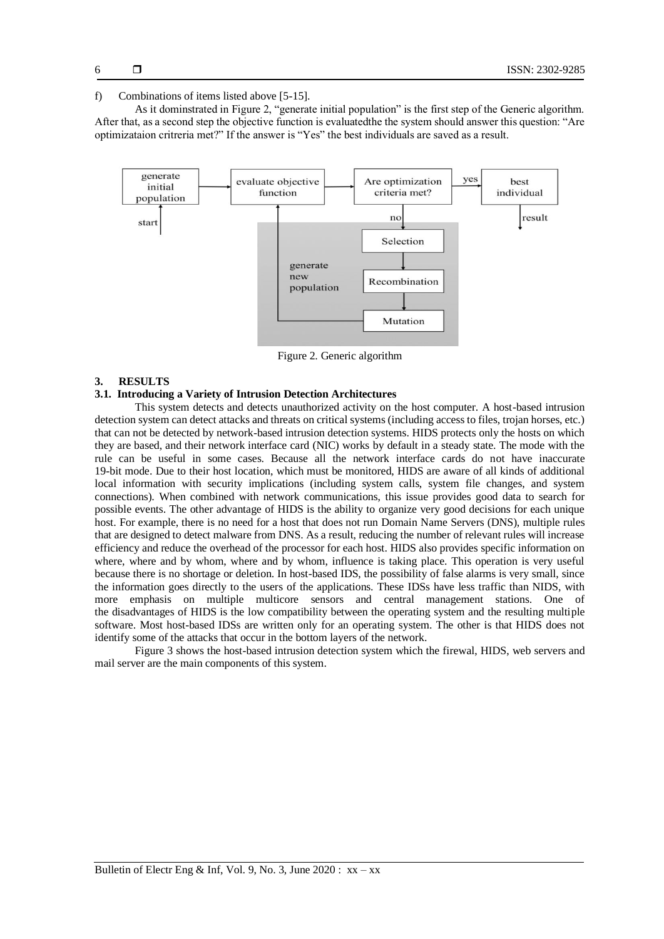#### f) Combinations of items listed above [5-15].

As it dominstrated in Figure 2, "generate initial population" is the first step of the Generic algorithm. After that, as a second step the objective function is evaluatedthe the system should answer this question: "Are optimizataion critreria met?" If the answer is "Yes" the best individuals are saved as a result.



Figure 2. Generic algorithm

## **3. RESULTS**

### **3.1. Introducing a Variety of Intrusion Detection Architectures**

This system detects and detects unauthorized activity on the host computer. A host-based intrusion detection system can detect attacks and threats on critical systems (including access to files, trojan horses, etc.) that can not be detected by network-based intrusion detection systems. HIDS protects only the hosts on which they are based, and their network interface card (NIC) works by default in a steady state. The mode with the rule can be useful in some cases. Because all the network interface cards do not have inaccurate 19-bit mode. Due to their host location, which must be monitored, HIDS are aware of all kinds of additional local information with security implications (including system calls, system file changes, and system connections). When combined with network communications, this issue provides good data to search for possible events. The other advantage of HIDS is the ability to organize very good decisions for each unique host. For example, there is no need for a host that does not run Domain Name Servers (DNS), multiple rules that are designed to detect malware from DNS. As a result, reducing the number of relevant rules will increase efficiency and reduce the overhead of the processor for each host. HIDS also provides specific information on where, where and by whom, where and by whom, influence is taking place. This operation is very useful because there is no shortage or deletion. In host-based IDS, the possibility of false alarms is very small, since the information goes directly to the users of the applications. These IDSs have less traffic than NIDS, with more emphasis on multiple multicore sensors and central management stations. One of the disadvantages of HIDS is the low compatibility between the operating system and the resulting multiple software. Most host-based IDSs are written only for an operating system. The other is that HIDS does not identify some of the attacks that occur in the bottom layers of the network.

Figure 3 shows the host-based intrusion detection system which the firewal, HIDS, web servers and mail server are the main components of this system.

6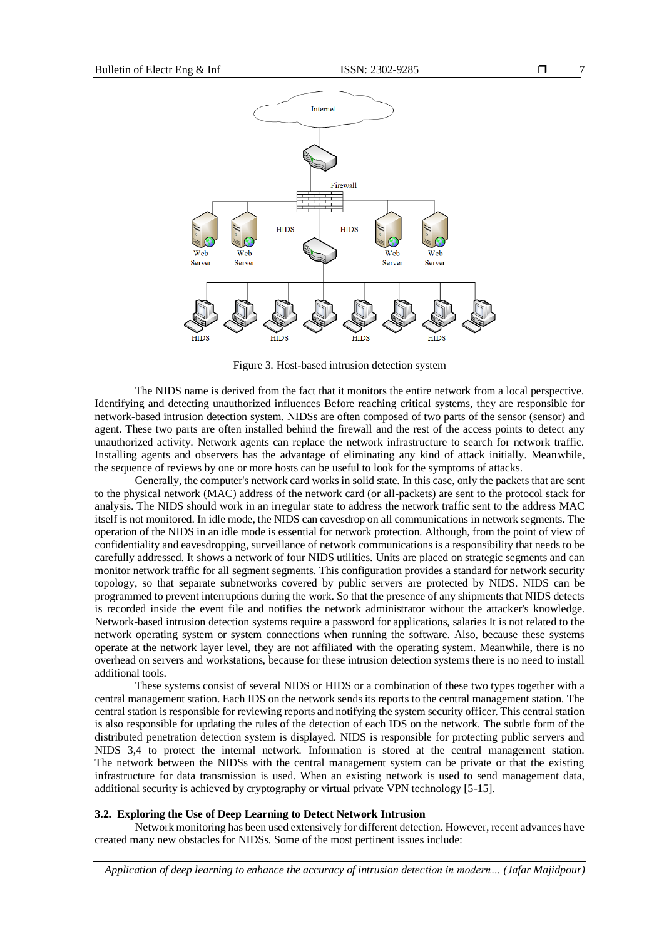

Figure 3. Host-based intrusion detection system

The NIDS name is derived from the fact that it monitors the entire network from a local perspective. Identifying and detecting unauthorized influences Before reaching critical systems, they are responsible for network-based intrusion detection system. NIDSs are often composed of two parts of the sensor (sensor) and agent. These two parts are often installed behind the firewall and the rest of the access points to detect any unauthorized activity. Network agents can replace the network infrastructure to search for network traffic. Installing agents and observers has the advantage of eliminating any kind of attack initially. Meanwhile, the sequence of reviews by one or more hosts can be useful to look for the symptoms of attacks.

Generally, the computer's network card works in solid state. In this case, only the packets that are sent to the physical network (MAC) address of the network card (or all-packets) are sent to the protocol stack for analysis. The NIDS should work in an irregular state to address the network traffic sent to the address MAC itself is not monitored. In idle mode, the NIDS can eavesdrop on all communications in network segments. The operation of the NIDS in an idle mode is essential for network protection. Although, from the point of view of confidentiality and eavesdropping, surveillance of network communications is a responsibility that needs to be carefully addressed. It shows a network of four NIDS utilities. Units are placed on strategic segments and can monitor network traffic for all segment segments. This configuration provides a standard for network security topology, so that separate subnetworks covered by public servers are protected by NIDS. NIDS can be programmed to prevent interruptions during the work. So that the presence of any shipments that NIDS detects is recorded inside the event file and notifies the network administrator without the attacker's knowledge. Network-based intrusion detection systems require a password for applications, salaries It is not related to the network operating system or system connections when running the software. Also, because these systems operate at the network layer level, they are not affiliated with the operating system. Meanwhile, there is no overhead on servers and workstations, because for these intrusion detection systems there is no need to install additional tools.

These systems consist of several NIDS or HIDS or a combination of these two types together with a central management station. Each IDS on the network sends its reports to the central management station. The central station is responsible for reviewing reports and notifying the system security officer. This central station is also responsible for updating the rules of the detection of each IDS on the network. The subtle form of the distributed penetration detection system is displayed. NIDS is responsible for protecting public servers and NIDS 3,4 to protect the internal network. Information is stored at the central management station. The network between the NIDSs with the central management system can be private or that the existing infrastructure for data transmission is used. When an existing network is used to send management data, additional security is achieved by cryptography or virtual private VPN technology [5-15].

#### **3.2. Exploring the Use of Deep Learning to Detect Network Intrusion**

Network monitoring has been used extensively for different detection. However, recent advances have created many new obstacles for NIDSs. Some of the most pertinent issues include: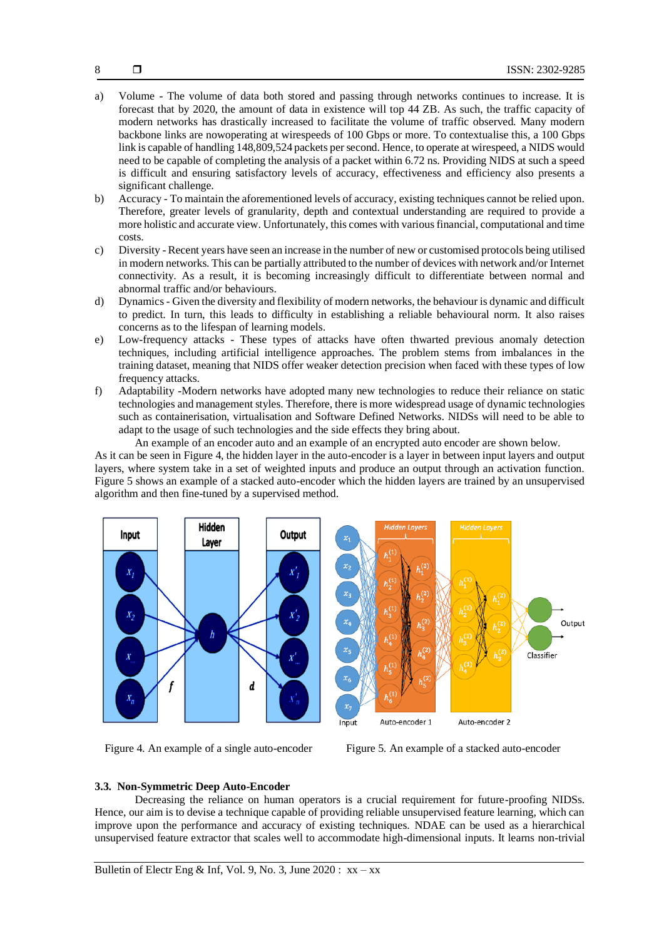- a) Volume The volume of data both stored and passing through networks continues to increase. It is forecast that by 2020, the amount of data in existence will top 44 ZB. As such, the traffic capacity of modern networks has drastically increased to facilitate the volume of traffic observed. Many modern backbone links are nowoperating at wirespeeds of 100 Gbps or more. To contextualise this, a 100 Gbps link is capable of handling 148,809,524 packets per second. Hence, to operate at wirespeed, a NIDS would need to be capable of completing the analysis of a packet within 6.72 ns. Providing NIDS at such a speed is difficult and ensuring satisfactory levels of accuracy, effectiveness and efficiency also presents a significant challenge.
- b) Accuracy To maintain the aforementioned levels of accuracy, existing techniques cannot be relied upon. Therefore, greater levels of granularity, depth and contextual understanding are required to provide a more holistic and accurate view. Unfortunately, this comes with various financial, computational and time costs.
- c) Diversity Recent years have seen an increase in the number of new or customised protocols being utilised in modern networks. This can be partially attributed to the number of devices with network and/or Internet connectivity. As a result, it is becoming increasingly difficult to differentiate between normal and abnormal traffic and/or behaviours.
- d) Dynamics Given the diversity and flexibility of modern networks, the behaviour is dynamic and difficult to predict. In turn, this leads to difficulty in establishing a reliable behavioural norm. It also raises concerns as to the lifespan of learning models.
- e) Low-frequency attacks These types of attacks have often thwarted previous anomaly detection techniques, including artificial intelligence approaches. The problem stems from imbalances in the training dataset, meaning that NIDS offer weaker detection precision when faced with these types of low frequency attacks.
- f) Adaptability -Modern networks have adopted many new technologies to reduce their reliance on static technologies and management styles. Therefore, there is more widespread usage of dynamic technologies such as containerisation, virtualisation and Software Defined Networks. NIDSs will need to be able to adapt to the usage of such technologies and the side effects they bring about.

An example of an encoder auto and an example of an encrypted auto encoder are shown below.

As it can be seen in Figure 4, the hidden layer in the auto-encoder is a layer in between input layers and output layers, where system take in a set of weighted inputs and produce an output through an activation function. Figure 5 shows an example of a stacked auto-encoder which the hidden layers are trained by an unsupervised algorithm and then fine-tuned by a supervised method.



Figure 4. An example of a single auto-encoder Figure 5. An example of a stacked auto-encoder

## **3.3. Non-Symmetric Deep Auto-Encoder**

Decreasing the reliance on human operators is a crucial requirement for future-proofing NIDSs. Hence, our aim is to devise a technique capable of providing reliable unsupervised feature learning, which can improve upon the performance and accuracy of existing techniques. NDAE can be used as a hierarchical unsupervised feature extractor that scales well to accommodate high-dimensional inputs. It learns non-trivial

Bulletin of Electr Eng & Inf, Vol. 9, No. 3, June 2020 :  $xx - xx$ 

8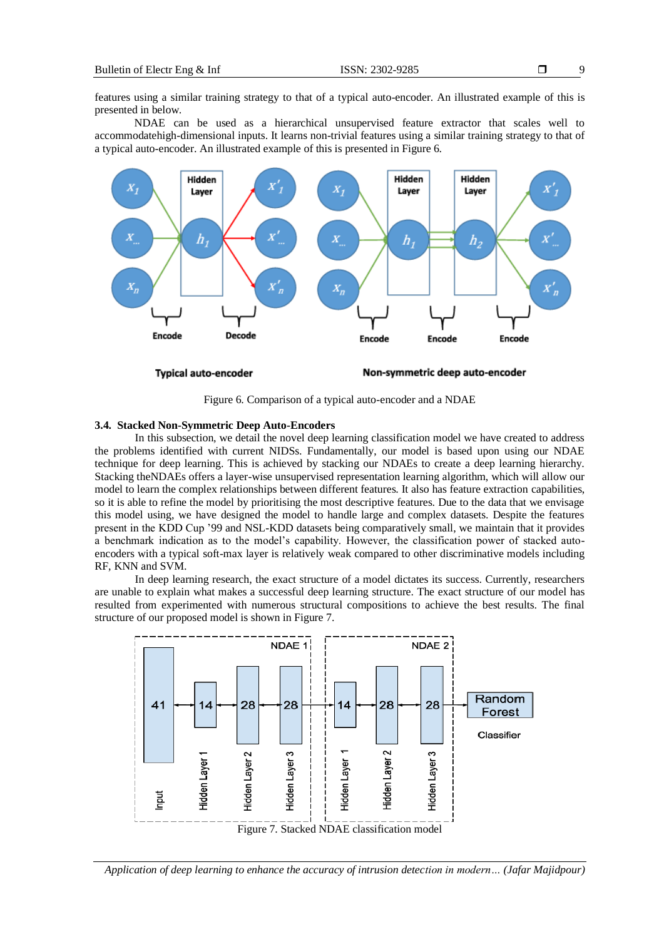features using a similar training strategy to that of a typical auto-encoder. An illustrated example of this is presented in below.

NDAE can be used as a hierarchical unsupervised feature extractor that scales well to accommodatehigh-dimensional inputs. It learns non-trivial features using a similar training strategy to that of a typical auto-encoder. An illustrated example of this is presented in Figure 6.



Figure 6. Comparison of a typical auto-encoder and a NDAE

#### **3.4. Stacked Non-Symmetric Deep Auto-Encoders**

In this subsection, we detail the novel deep learning classification model we have created to address the problems identified with current NIDSs. Fundamentally, our model is based upon using our NDAE technique for deep learning. This is achieved by stacking our NDAEs to create a deep learning hierarchy. Stacking theNDAEs offers a layer-wise unsupervised representation learning algorithm, which will allow our model to learn the complex relationships between different features. It also has feature extraction capabilities, so it is able to refine the model by prioritising the most descriptive features. Due to the data that we envisage this model using, we have designed the model to handle large and complex datasets. Despite the features present in the KDD Cup '99 and NSL-KDD datasets being comparatively small, we maintain that it provides a benchmark indication as to the model's capability. However, the classification power of stacked autoencoders with a typical soft-max layer is relatively weak compared to other discriminative models including RF, KNN and SVM.

In deep learning research, the exact structure of a model dictates its success. Currently, researchers are unable to explain what makes a successful deep learning structure. The exact structure of our model has resulted from experimented with numerous structural compositions to achieve the best results. The final structure of our proposed model is shown in Figure 7.

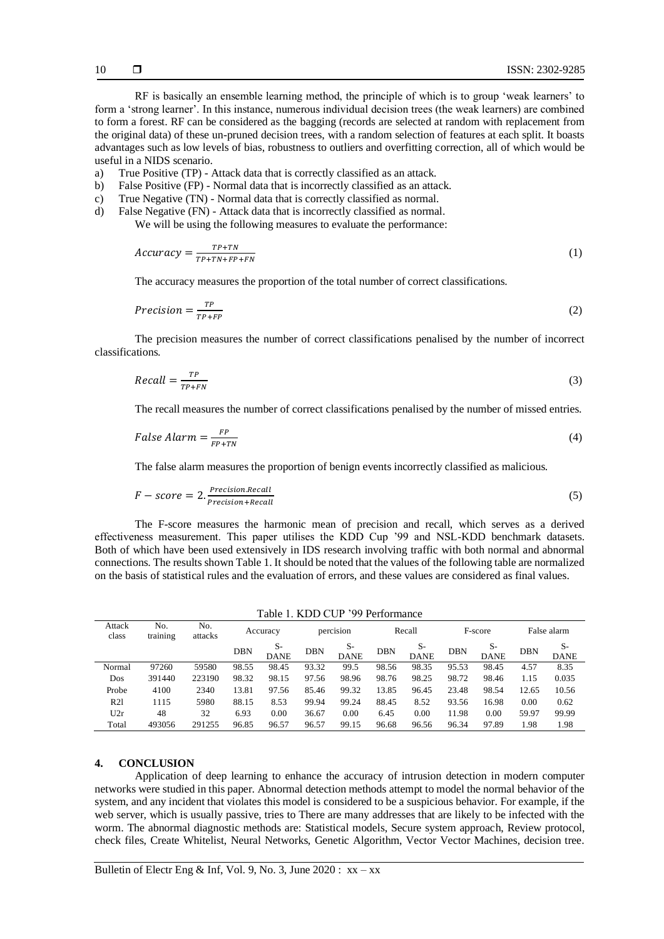RF is basically an ensemble learning method, the principle of which is to group 'weak learners' to form a 'strong learner'. In this instance, numerous individual decision trees (the weak learners) are combined to form a forest. RF can be considered as the bagging (records are selected at random with replacement from the original data) of these un-pruned decision trees, with a random selection of features at each split. It boasts advantages such as low levels of bias, robustness to outliers and overfitting correction, all of which would be useful in a NIDS scenario.

- a) True Positive (TP) Attack data that is correctly classified as an attack.
- b) False Positive (FP) Normal data that is incorrectly classified as an attack.
- c) True Negative (TN) Normal data that is correctly classified as normal.
- d) False Negative (FN) Attack data that is incorrectly classified as normal. We will be using the following measures to evaluate the performance:

$$
Accuracy = \frac{TP + TN}{TP + TN + FP + FN}
$$
 (1)

The accuracy measures the proportion of the total number of correct classifications.

$$
Precision = \frac{TP}{TP + FP}
$$
 (2)

The precision measures the number of correct classifications penalised by the number of incorrect classifications.

$$
Recall = \frac{TP}{TP+FN} \tag{3}
$$

The recall measures the number of correct classifications penalised by the number of missed entries.

$$
False \text{ Alarm} = \frac{FP}{FP + TN} \tag{4}
$$

The false alarm measures the proportion of benign events incorrectly classified as malicious.

$$
F-score = 2. \frac{PrecisionRecall}{Precision+Recall}
$$
 (5)

The F-score measures the harmonic mean of precision and recall, which serves as a derived effectiveness measurement. This paper utilises the KDD Cup '99 and NSL-KDD benchmark datasets. Both of which have been used extensively in IDS research involving traffic with both normal and abnormal connections. The results shown Table 1. It should be noted that the values of the following table are normalized on the basis of statistical rules and the evaluation of errors, and these values are considered as final values.

Table 1. KDD CUP '00 Performance

| Table 1. NDD COF 99 Feriormance |                 |                |            |                     |            |                     |            |                     |            |                     |             |                     |
|---------------------------------|-----------------|----------------|------------|---------------------|------------|---------------------|------------|---------------------|------------|---------------------|-------------|---------------------|
| Attack<br>class                 | No.<br>training | No.<br>attacks | Accuracy   |                     | percision  |                     | Recall     |                     | F-score    |                     | False alarm |                     |
|                                 |                 |                | <b>DBN</b> | $S-$<br><b>DANE</b> | <b>DBN</b> | $S-$<br><b>DANE</b> | <b>DBN</b> | $S-$<br><b>DANE</b> | <b>DBN</b> | $S-$<br><b>DANE</b> | <b>DBN</b>  | $S-$<br><b>DANE</b> |
| Normal                          | 97260           | 59580          | 98.55      | 98.45               | 93.32      | 99.5                | 98.56      | 98.35               | 95.53      | 98.45               | 4.57        | 8.35                |
| Dos                             | 391440          | 223190         | 98.32      | 98.15               | 97.56      | 98.96               | 98.76      | 98.25               | 98.72      | 98.46               | 1.15        | 0.035               |
| Probe                           | 4100            | 2340           | 13.81      | 97.56               | 85.46      | 99.32               | 13.85      | 96.45               | 23.48      | 98.54               | 12.65       | 10.56               |
| R21                             | 1115            | 5980           | 88.15      | 8.53                | 99.94      | 99.24               | 88.45      | 8.52                | 93.56      | 16.98               | 0.00        | 0.62                |
| U2r                             | 48              | 32             | 6.93       | 0.00                | 36.67      | 0.00                | 6.45       | 0.00                | 11.98      | 0.00                | 59.97       | 99.99               |
| Total                           | 493056          | 291255         | 96.85      | 96.57               | 96.57      | 99.15               | 96.68      | 96.56               | 96.34      | 97.89               | 1.98        | 1.98                |

#### **4. CONCLUSION**

Application of deep learning to enhance the accuracy of intrusion detection in modern computer networks were studied in this paper. Abnormal detection methods attempt to model the normal behavior of the system, and any incident that violates this model is considered to be a suspicious behavior. For example, if the web server, which is usually passive, tries to There are many addresses that are likely to be infected with the worm. The abnormal diagnostic methods are: Statistical models, Secure system approach, Review protocol, check files, Create Whitelist, Neural Networks, Genetic Algorithm, Vector Vector Machines, decision tree.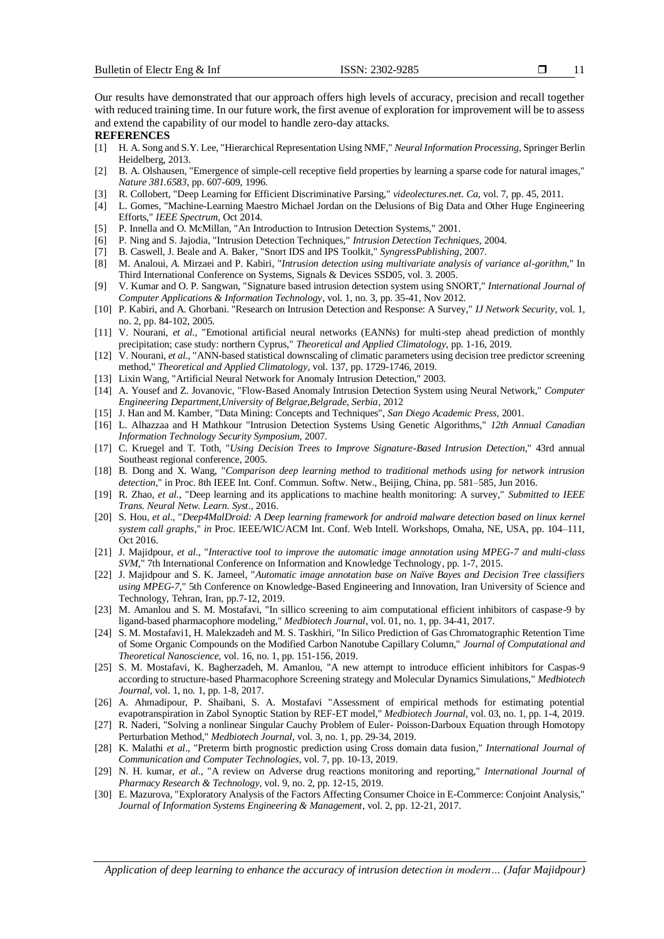Our results have demonstrated that our approach offers high levels of accuracy, precision and recall together with reduced training time. In our future work, the first avenue of exploration for improvement will be to assess and extend the capability of our model to handle zero-day attacks.

#### **REFERENCES**

- [1] H. A. Song and S.Y. Lee, "Hierarchical Representation Using NMF," *Neural Information Processing*, Springer Berlin Heidelberg, 2013.
- [2] B. A. Olshausen, "Emergence of simple-cell receptive field properties by learning a sparse code for natural images," *Nature 381.6583*, pp. 607-609, 1996.
- [3] R. Collobert, "Deep Learning for Efficient Discriminative Parsing," *videolectures.net. Ca*, vol. 7, pp. 45, 2011.
- [4] L. Gomes, "Machine-Learning Maestro Michael Jordan on the Delusions of Big Data and Other Huge Engineering Efforts," *IEEE Spectrum*, Oct 2014.
- [5] P. Innella and O. McMillan, "An Introduction to Intrusion Detection Systems," 2001.
- [6] P. Ning and S. Jajodia, "Intrusion Detection Techniques," *Intrusion Detection Techniques*, 2004.
- [7] B. Caswell, J. Beale and A. Baker, "Snort IDS and IPS Toolkit," *SyngressPublishing*, 2007.
- [8] M. Analoui, *A.* Mirzaei and P. Kabiri, "*Intrusion detection using multivariate analysis of variance al-gorithm*," In Third International Conference on Systems, Signals & Devices SSD05, vol. 3. 2005.
- [9] V. Kumar and O. P. Sangwan, "Signature based intrusion detection system using SNORT," *International Journal of Computer Applications & Information Technology*, vol. 1, no. 3, pp. 35-41, Nov 2012.
- [10] P. Kabiri, and A. Ghorbani. "Research on Intrusion Detection and Response: A Survey," *IJ Network Security,* vol. 1, no. 2, pp. 84-102, 2005.
- [11] V. Nourani, *et al*., "Emotional artificial neural networks (EANNs) for multi-step ahead prediction of monthly precipitation; case study: northern Cyprus," *Theoretical and Applied Climatology*, pp. 1-16, 2019.
- [12] V. Nourani, *et al*., "ANN-based statistical downscaling of climatic parameters using decision tree predictor screening method," *Theoretical and Applied Climatology*, vol. 137, pp. 1729-1746, 2019.
- [13] Lixin Wang, "Artificial Neural Network for Anomaly Intrusion Detection," 2003.
- [14] A. Yousef and Z. Jovanovic, "Flow-Based Anomaly Intrusion Detection System using Neural Network," *Computer Engineering Department,University of Belgrae,Belgrade, Serbia*, 2012
- [15] J. Han and M. Kamber, "Data Mining: Concepts and Techniques", *San Diego Academic Press*, 2001.
- [16] L. Alhazzaa and H Mathkour "Intrusion Detection Systems Using Genetic Algorithms," *12th Annual Canadian Information Technology Security Symposium*, 2007.
- [17] C. Kruegel and T. Toth, "*Using Decision Trees to Improve Signature-Based Intrusion Detection*," 43rd annual Southeast regional conference, 2005.
- [18] B. Dong and X. Wang, "*Comparison deep learning method to traditional methods using for network intrusion detection*," in Proc. 8th IEEE Int. Conf. Commun. Softw. Netw., Beijing, China, pp. 581–585, Jun 2016.
- [19] R. Zhao, *et al*., "Deep learning and its applications to machine health monitoring: A survey," *Submitted to IEEE Trans. Neural Netw. Learn. Syst*., 2016.
- [20] S. Hou, *et al*., "*Deep4MalDroid: A Deep learning framework for android malware detection based on linux kernel system call graphs*," *in* Proc. IEEE/WIC/ACM Int. Conf. Web Intell. Workshops, Omaha, NE, USA, pp. 104–111, Oct 2016.
- [21] J. Majidpour, *et al*., "*Interactive tool to improve the automatic image annotation using MPEG-7 and multi-class SVM,*" 7th International Conference on Information and Knowledge Technology, pp. 1-7, 2015.
- [22] J. Majidpour and S. K. Jameel, "*Automatic image annotation base on Naïve Bayes and Decision Tree classifiers using MPEG-7*," 5th Conference on Knowledge-Based Engineering and Innovation, Iran University of Science and Technology, Tehran, Iran, pp.7-12, 2019.
- [23] M. Amanlou and S. M. Mostafavi, "In sillico screening to aim computational efficient inhibitors of caspase-9 by ligand-based pharmacophore modeling," *Medbiotech Journal*, vol. 01, no. 1, pp. 34-41, 2017.
- [24] S. M. Mostafavi1, H. Malekzadeh and M. S. Taskhiri, "In Silico Prediction of Gas Chromatographic Retention Time of Some Organic Compounds on the Modified Carbon Nanotube Capillary Column," *Journal of Computational and Theoretical Nanoscience*, vol. 16, no. 1, pp. 151-156, 2019.
- [25] S. M. Mostafavi, K. Bagherzadeh, M. Amanlou, "A new attempt to introduce efficient inhibitors for Caspas-9 according to structure-based Pharmacophore Screening strategy and Molecular Dynamics Simulations," *Medbiotech Journal*, vol. 1, no. 1, pp. 1-8, 2017.
- [26] A. Ahmadipour, P. Shaibani, S. A. Mostafavi "Assessment of empirical methods for estimating potential evapotranspiration in Zabol Synoptic Station by REF-ET model," *Medbiotech Journal*, vol. 03, no. 1, pp. 1-4, 2019.
- [27] R. Naderi, "Solving a nonlinear Singular Cauchy Problem of Euler- Poisson-Darboux Equation through Homotopy Perturbation Method," *Medbiotech Journal*, vol. 3, no. 1, pp. 29-34, 2019.
- [28] K. Malathi *et al*., "Preterm birth prognostic prediction using Cross domain data fusion," *International Journal of Communication and Computer Technologies*, vol. 7, pp. 10-13, 2019.
- [29] N. H. kumar, *et al*., "A review on Adverse drug reactions monitoring and reporting," *International Journal of Pharmacy Research & Technology*, vol. 9, no. 2, pp. 12-15, 2019.
- [30] E. Mazurova, "Exploratory Analysis of the Factors Affecting Consumer Choice in E-Commerce: Conjoint Analysis," *Journal of Information Systems Engineering & Management*, vol. 2, pp. 12-21, 2017.